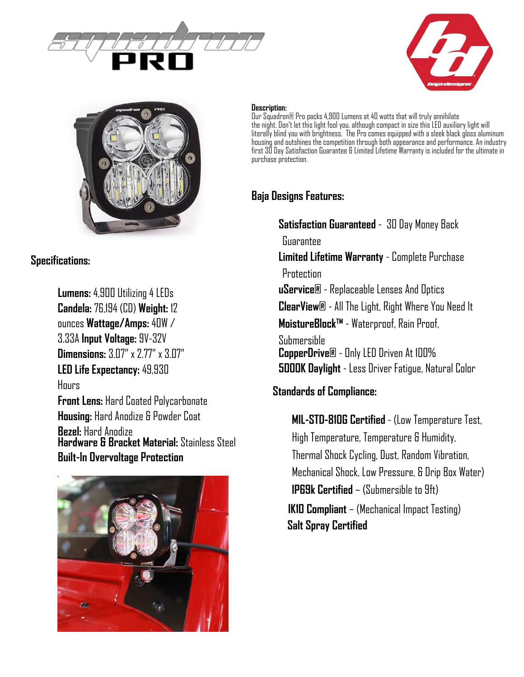





**Specifications:**

**Lumens:** 4,900 Utilizing 4 LEDs **Candela:** 76,194 (CD) **Weight:** 12 ounces **Wattage/Amps:** 40W / 3.33A **Input Voltage:** 9V-32V **Dimensions:** 3.07" x 2.77" x 3.07" **LED Life Expectancy:** 49,930 Hours **Front Lens:** Hard Coated Polycarbonate **Housing:** Hard Anodize & Powder Coat **Bezel:** Hard Anodize **Hardware & Bracket Material:** Stainless Steel **Built-In Overvoltage Protection**



#### **Description:**

Our Squadron® Pro packs 4,900 Lumens at 40 watts that will truly annihilate the night. Don't let this light fool you, although compact in size this LED auxiliary light will literally blind you with brightness. The Pro comes equipped with a sleek black gloss aluminum housing and outshines the competition through both appearance and performance. An industry first 30 Day Satisfaction Guarantee & Limited Lifetime Warranty is included for the ultimate in purchase protection.

## **Baja Designs Features:**

**Satisfaction Guaranteed** - 30 Day Money Back Guarantee **Limited Lifetime Warranty** - Complete Purchase **Protection uService®** - Replaceable Lenses And Optics **ClearView®** - All The Light, Right Where You Need It **MoistureBlock™** - Waterproof, Rain Proof, Submersible **CopperDrive®** - Only LED Driven At 100% **5000K Daylight** - Less Driver Fatigue, Natural Color

### **Standards of Compliance:**

**MIL-STD-810G Certified** - (Low Temperature Test, High Temperature, Temperature & Humidity, Thermal Shock Cycling, Dust, Random Vibration, Mechanical Shock, Low Pressure, & Drip Box Water) **IP69k Certified** – (Submersible to 9ft) **IK10 Compliant** – (Mechanical Impact Testing) **Salt Spray Certified**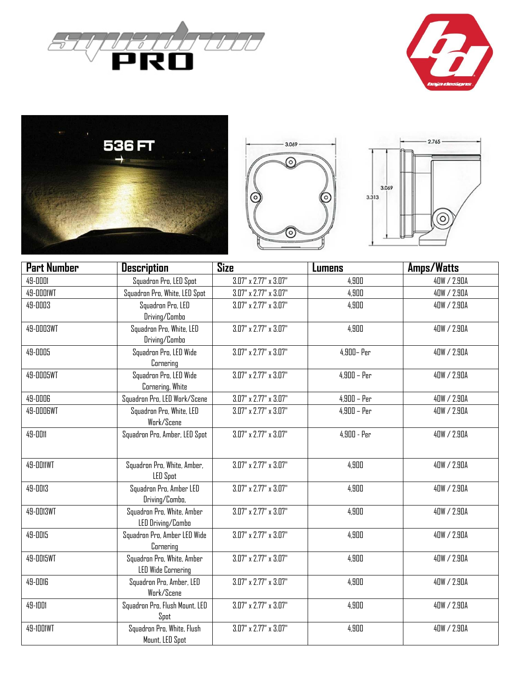









| <b>Part Number</b> | <b>Description</b>             | <b>Size</b>                    | <b>Lumens</b> | Amps/Watts  |
|--------------------|--------------------------------|--------------------------------|---------------|-------------|
| 49-0001            | Squadron Pro, LED Spot         | $3.07''$ x $2.77''$ x $3.07''$ | 4,900         | 40W / 2.90A |
| 49-0001WT          | Squadron Pro, White, LED Spot  | $3.07''$ x $2.77''$ x $3.07''$ | 4,900         | 40W / 2.90A |
| 49-0003            | Squadron Pro, LED              | $3.07''$ x $2.77''$ x $3.07''$ | 4,900         | 40W / 2.90A |
|                    | Driving/Combo                  |                                |               |             |
| 49-0003WT          | Squadron Pro, White, LED       | $3.07''$ x $2.77''$ x $3.07''$ | 4,900         | 40W / 2.90A |
|                    | Driving/Combo                  |                                |               |             |
| 49-0005            | Squadron Pro, LED Wide         | $3.07''$ x $2.77''$ x $3.07''$ | 4,900 - Per   | 40W / 2.90A |
|                    | Cornering                      |                                |               |             |
| 49-0005WT          | Squadron Pro, LED Wide         | $3.07''$ x $2.77''$ x $3.07''$ | $4,900 - Per$ | 40W / 2.90A |
|                    | Cornering, White               |                                |               |             |
| 49-0006            | Squadron Pro, LED Work/Scene   | $3.07''$ x $2.77''$ x $3.07''$ | $4,900 - Per$ | 40W / 2.90A |
| 49-0006WT          | Squadron Pro, White, LED       | $3.07''$ x $2.77''$ x $3.07''$ | $4,900 - Per$ | 40W / 2.90A |
|                    | Work/Scene                     |                                |               |             |
| 49-0011            | Squadron Pro, Amber, LED Spot  | $3.07''$ x $2.77''$ x $3.07''$ | 4,900 - Per   | 40W / 2.90A |
|                    |                                |                                |               |             |
| 49-0011WT          | Squadron Pro, White, Amber,    | $3.07''$ x $2.77''$ x $3.07''$ | 4,900         | 40W / 2.90A |
|                    | <b>LED Spot</b>                |                                |               |             |
| 49-0013            | Squadron Pro, Amber LED        | $3.07''$ x $2.77''$ x $3.07''$ | 4,900         | 40W / 2.90A |
|                    | Driving/Combo,                 |                                |               |             |
| 49-0013WT          | Squadron Pro, White, Amber     | $3.07''$ x $2.77''$ x $3.07''$ | 4,900         | 40W / 2.90A |
|                    | LED Driving/Combo              |                                |               |             |
| 49-0015            | Squadron Pro, Amber LED Wide   | $3.07''$ x $2.77''$ x $3.07''$ | 4,900         | 40W / 2.90A |
|                    | Cornering                      |                                |               |             |
| 49-0015WT          | Squadron Pro, White, Amber     | $3.07''$ x $2.77''$ x $3.07''$ | 4,900         | 40W / 2.90A |
|                    | <b>LED Wide Cornering</b>      |                                |               |             |
| 49-0016            | Squadron Pro, Amber, LED       | $3.07''$ x $2.77''$ x $3.07''$ | 4,900         | 40W / 2.90A |
|                    | Work/Scene                     |                                |               |             |
| 49-1001            | Squadron Pro, Flush Mount, LED | $3.07''$ x $2.77''$ x $3.07''$ | 4,900         | 40W / 2.90A |
|                    | Spot                           |                                |               |             |
| 49-1001WT          | Squadron Pro, White, Flush     | $3.07''$ x $2.77''$ x $3.07''$ | 4,900         | 40W / 2.90A |
|                    | Mount, LED Spot                |                                |               |             |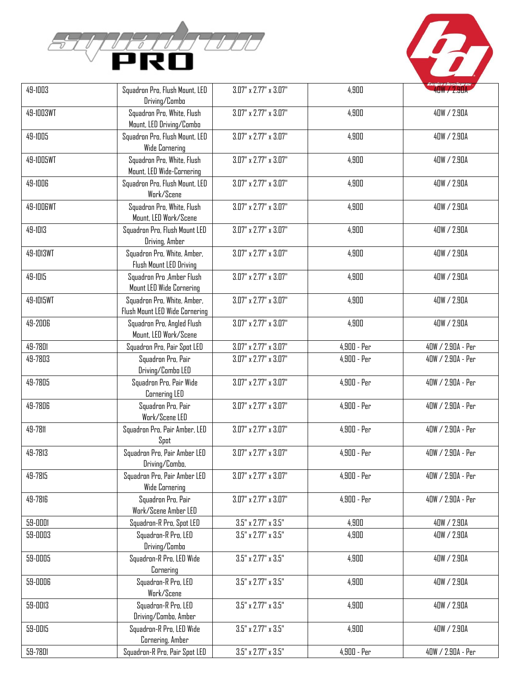



| 49-1003   | Squadron Pro, Flush Mount, LED<br>Driving/Combo               | $3.07''$ x $2.77''$ x $3.07''$  | 4,900         | 40W / 2.90A       |
|-----------|---------------------------------------------------------------|---------------------------------|---------------|-------------------|
| 49-1003WT | Squadron Pro, White, Flush<br>Mount, LED Driving/Combo        | $3.07''$ x $2.77''$ x $3.07''$  | 4,900         | 40W / 2.90A       |
| 49-1005   | Squadron Pro, Flush Mount, LED<br><b>Wide Cornering</b>       | $3.07''$ x $2.77''$ x $3.07''$  | 4,900         | 40W / 2.90A       |
| 49-1005WT | Squadron Pro, White, Flush<br>Mount, LED Wide-Cornering       | $3.07''$ x $2.77''$ x $3.07''$  | 4,900         | 40W / 2.90A       |
| 49-1006   | Squadron Pro, Flush Mount, LED<br>Work/Scene                  | $3.07''$ x $2.77''$ x $3.07''$  | 4,900         | 40W / 2.90A       |
| 49-1006WT | Squadron Pro, White, Flush<br>Mount, LED Work/Scene           | $3.07''$ x $2.77''$ x $3.07''$  | 4,900         | 40W / 2.90A       |
| 49-1013   | Squadron Pro, Flush Mount LED<br>Driving, Amber               | $3.07''$ x $2.77''$ x $3.07''$  | 4,900         | 40W / 2.90A       |
| 49-1013WT | Squadron Pro, White, Amber,<br>Flush Mount LED Driving        | $3.07''$ x $2.77''$ x $3.07''$  | 4,900         | 40W / 2.90A       |
| 49-1015   | Squadron Pro , Amber Flush<br>Mount LED Wide Cornering        | $3.07''$ x $2.77''$ x $3.07''$  | 4,900         | 40W / 2.90A       |
| 49-1015WT | Squadron Pro, White, Amber,<br>Flush Mount LED Wide Cornering | $3.07''$ x $2.77''$ x $3.07''$  | 4,900         | 40W / 2.90A       |
| 49-2006   | Squadron Pro, Angled Flush<br>Mount, LED Work/Scene           | $3.07''$ x $2.77''$ x $3.07''$  | 4,900         | 40W / 2.90A       |
| 49-7801   | Squadron Pro, Pair Spot LED                                   | $3.07''$ x $2.77''$ x $3.07''$  | 4,900 - Per   | 40W / 2.90A - Per |
| 49-7803   | Squadron Pro, Pair<br>Driving/Combo LED                       | $3.07''$ x $2.77''$ x $3.07''$  | 4,900 - Per   | 40W / 2.90A - Per |
| 49-7805   | Squadron Pro, Pair Wide<br>Cornering LED                      | $3.07''$ x $2.77''$ x $3.07''$  | 4,900 - Per   | 40W / 2.90A - Per |
| 49-7806   | Squadron Pro, Pair<br>Work/Scene LED                          | $3.07''$ x $2.77''$ x $3.07''$  | 4,900 - Per   | 40W / 2.90A - Per |
| 49-7811   | Squadron Pro, Pair Amber, LED<br>Spot                         | $3.07''$ x $2.77''$ x $3.07''$  | 4,900 - Per   | 40W / 2.90A - Per |
| 49-7813   | Squadron Pro, Pair Amber LED<br>Driving/Combo,                | $3.07''$ x $2.77''$ x $3.07''$  | 4,900 - Per   | 40W / 2.90A - Per |
| 49-7815   | Squadron Pro, Pair Amber LED<br><b>Wide Cornering</b>         | $3.07''$ x $2.77''$ x $3.07''$  | $4,900 - Per$ | 40W / 2.90A - Per |
| 49-7816   | Squadron Pro, Pair<br>Work/Scene Amber LED                    | $3.07''$ x $2.77''$ x $3.07''$  | 4,900 - Per   | 40W / 2.90A - Per |
| 59-0001   | Squadron-R Pro, Spot LED                                      | $3.5" \times 2.77" \times 3.5"$ | 4,900         | 40W / 2.90A       |
| 59-0003   | Squadron-R Pro, LED<br>Driving/Combo                          | $3.5" \times 2.77" \times 3.5"$ | 4,900         | 40W / 2.90A       |
| 59-0005   | Squadron-R Pro, LED Wide<br>Cornering                         | $3.5" \times 2.77" \times 3.5"$ | 4,900         | 40W / 2.90A       |
| 59-0006   | Squadron-R Pro, LED<br>Work/Scene                             | $3.5" \times 2.77" \times 3.5"$ | 4,900         | 40W / 2.90A       |
| 59-0013   | Squadron-R Pro, LED<br>Driving/Combo, Amber                   | $3.5" \times 2.77" \times 3.5"$ | 4,900         | 40W / 2.90A       |
| 59-0015   | Squadron-R Pro, LED Wide<br>Cornering, Amber                  | $3.5" \times 2.77" \times 3.5"$ | 4,900         | 40W / 2.90A       |
| 59-7801   | Squadron-R Pro, Pair Spot LED                                 | $3.5" \times 2.77" \times 3.5"$ | 4,900 - Per   | 40W / 2.90A - Per |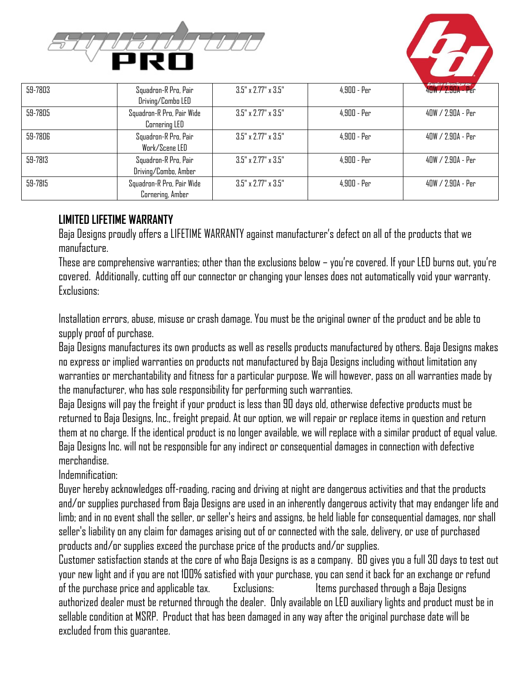



| 59-7803 | Squadron-R Pro, Pair<br>Driving/Combo LED     | $3.5" \times 2.77" \times 3.5"$ | $4.900 - Per$ | 40W / 2.90A - Per   |
|---------|-----------------------------------------------|---------------------------------|---------------|---------------------|
| 59-7805 | Squadron-R Pro, Pair Wide<br>Cornering LED    | $3.5" \times 2.77" \times 3.5"$ | $4.900$ - Per | 40W / 2.90A - Per   |
| 59-7806 | Squadron-R Pro, Pair<br>Work/Scene LED        | $3.5" \times 2.77" \times 3.5"$ | $4.900$ - Per | 40W / 2.90A - Per   |
| 59-7813 | Squadron-R Pro, Pair<br>Driving/Combo, Amber  | $3.5" \times 2.77" \times 3.5"$ | $4.900$ - Per | 40W / 2.90A - Per   |
| 59-7815 | Squadron-R Pro, Pair Wide<br>Cornering, Amber | $3.5" \times 2.77" \times 3.5"$ | $4.900$ - Per | $40W / 2.90A - Per$ |

## **LIMITED LIFETIME WARRANTY**

Baja Designs proudly offers a LIFETIME WARRANTY against manufacturer's defect on all of the products that we manufacture.

These are comprehensive warranties; other than the exclusions below – you're covered. If your LED burns out, you're covered. Additionally, cutting off our connector or changing your lenses does not automatically void your warranty. Exclusions:

Installation errors, abuse, misuse or crash damage. You must be the original owner of the product and be able to supply proof of purchase.

Baja Designs manufactures its own products as well as resells products manufactured by others. Baja Designs makes no express or implied warranties on products not manufactured by Baja Designs including without limitation any warranties or merchantability and fitness for a particular purpose. We will however, pass on all warranties made by the manufacturer, who has sole responsibility for performing such warranties.

Baja Designs will pay the freight if your product is less than 90 days old, otherwise defective products must be returned to Baja Designs, Inc., freight prepaid. At our option, we will repair or replace items in question and return them at no charge. If the identical product is no longer available, we will replace with a similar product of equal value. Baja Designs Inc. will not be responsible for any indirect or consequential damages in connection with defective merchandise.

Indemnification:

Buyer hereby acknowledges off-roading, racing and driving at night are dangerous activities and that the products and/or supplies purchased from Baja Designs are used in an inherently dangerous activity that may endanger life and limb; and in no event shall the seller, or seller's heirs and assigns, be held liable for consequential damages, nor shall seller's liability on any claim for damages arising out of or connected with the sale, delivery, or use of purchased products and/or supplies exceed the purchase price of the products and/or supplies.

Customer satisfaction stands at the core of who Baja Designs is as a company. BD gives you a full 30 days to test out your new light and if you are not 100% satisfied with your purchase, you can send it back for an exchange or refund of the purchase price and applicable tax. Exclusions: Items purchased through a Baja Designs authorized dealer must be returned through the dealer. Only available on LED auxiliary lights and product must be in sellable condition at MSRP. Product that has been damaged in any way after the original purchase date will be excluded from this guarantee.